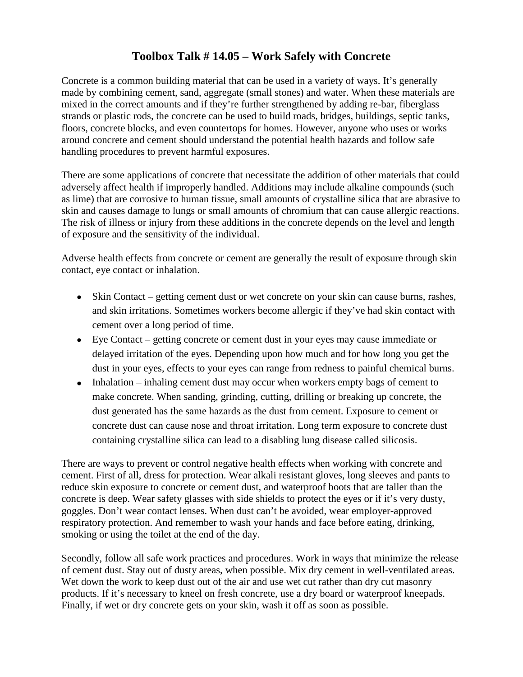## **Toolbox Talk # 14.05 – Work Safely with Concrete**

Concrete is a common building material that can be used in a variety of ways. It's generally made by combining cement, sand, aggregate (small stones) and water. When these materials are mixed in the correct amounts and if they're further strengthened by adding re-bar, fiberglass strands or plastic rods, the concrete can be used to build roads, bridges, buildings, septic tanks, floors, concrete blocks, and even countertops for homes. However, anyone who uses or works around concrete and cement should understand the potential health hazards and follow safe handling procedures to prevent harmful exposures.

There are some applications of concrete that necessitate the addition of other materials that could adversely affect health if improperly handled. Additions may include alkaline compounds (such as lime) that are corrosive to human tissue, small amounts of crystalline silica that are abrasive to skin and causes damage to lungs or small amounts of chromium that can cause allergic reactions. The risk of illness or injury from these additions in the concrete depends on the level and length of exposure and the sensitivity of the individual.

Adverse health effects from concrete or cement are generally the result of exposure through skin contact, eye contact or inhalation.

- Skin Contact getting cement dust or wet concrete on your skin can cause burns, rashes, and skin irritations. Sometimes workers become allergic if they've had skin contact with cement over a long period of time.
- Eye Contact getting concrete or cement dust in your eyes may cause immediate or delayed irritation of the eyes. Depending upon how much and for how long you get the dust in your eyes, effects to your eyes can range from redness to painful chemical burns.
- Inhalation inhaling cement dust may occur when workers empty bags of cement to make concrete. When sanding, grinding, cutting, drilling or breaking up concrete, the dust generated has the same hazards as the dust from cement. Exposure to cement or concrete dust can cause nose and throat irritation. Long term exposure to concrete dust containing crystalline silica can lead to a disabling lung disease called silicosis.

There are ways to prevent or control negative health effects when working with concrete and cement. First of all, dress for protection. Wear alkali resistant gloves, long sleeves and pants to reduce skin exposure to concrete or cement dust, and waterproof boots that are taller than the concrete is deep. Wear safety glasses with side shields to protect the eyes or if it's very dusty, goggles. Don't wear contact lenses. When dust can't be avoided, wear employer-approved respiratory protection. And remember to wash your hands and face before eating, drinking, smoking or using the toilet at the end of the day.

Secondly, follow all safe work practices and procedures. Work in ways that minimize the release of cement dust. Stay out of dusty areas, when possible. Mix dry cement in well-ventilated areas. Wet down the work to keep dust out of the air and use wet cut rather than dry cut masonry products. If it's necessary to kneel on fresh concrete, use a dry board or waterproof kneepads. Finally, if wet or dry concrete gets on your skin, wash it off as soon as possible.